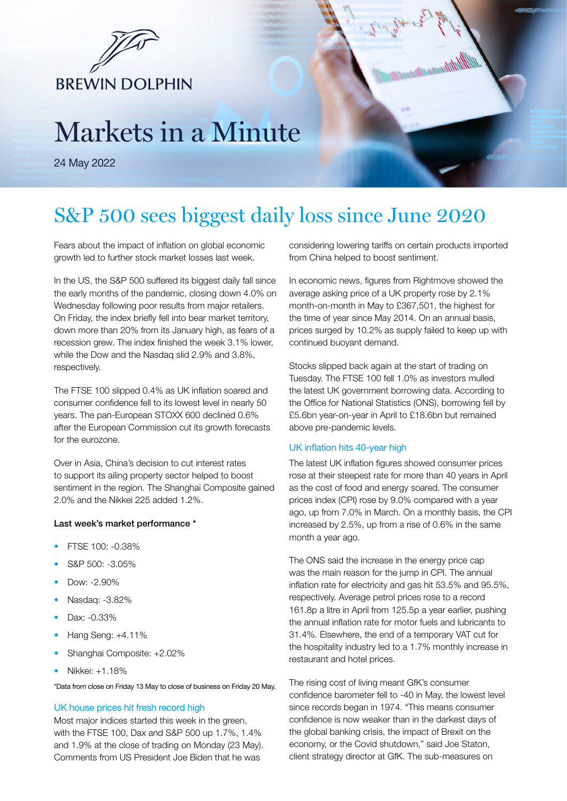

# Markets in a Minute

24 May 2022

# S&P 500 sees biggest daily loss since June 2020

Fears about the impact of inflation on global economic growth led to further stock market losses last week.

In the US, the S&P 500 suffered its biggest daily fall since the early months of the pandemic, closing down 4.0% on Wednesday following poor results from major retailers. On Friday, the index briefly fell into bear market territory, down more than 20% from its January high, as fears of a recession grew. The index finished the week 3.1% lower, while the Dow and the Nasdaq slid 2.9% and 3.8%, respectively.

The FTSE 100 slipped 0.4% as UK inflation soared and consumer confidence fell to its lowest level in nearly 50 years. The pan-European STOXX 600 declined 0.6% after the European Commission cut its growth forecasts for the eurozone.

Over in Asia, China's decision to cut interest rates to support its ailing property sector helped to boost sentiment in the region. The Shanghai Composite gained 2.0% and the Nikkei 225 added 1.2%.

## Last week's market performance \*

- FTSE 100: -0.38%
- S&P 500: -3.05%
- Dow: -2.90%
- Nasdaq: -3.82%
- Dax: -0.33%
- Hang Seng: +4.11%
- Shanghai Composite: +2.02%
- Nikkei: +1.18%

\*Data from close on Friday 13 May to close of business on Friday 20 May.

## UK house prices hit fresh record high

Most major indices started this week in the green, with the FTSE 100, Dax and S&P 500 up 1.7%, 1.4% and 1.9% at the close of trading on Monday (23 May). Comments from US President Joe Biden that he was

considering lowering tariffs on certain products imported from China helped to boost sentiment.

In economic news, figures from Rightmove showed the average asking price of a UK property rose by 2.1% month-on-month in May to £367,501, the highest for the time of year since May 2014. On an annual basis, prices surged by 10.2% as supply failed to keep up with continued buoyant demand.

Stocks slipped back again at the start of trading on Tuesday. The FTSE 100 fell 1.0% as investors mulled the latest UK government borrowing data. According to the Office for National Statistics (ONS), borrowing fell by £5.6bn year-on-year in April to £18.6bn but remained above pre-pandemic levels.

# UK inflation hits 40-year high

The latest UK inflation figures showed consumer prices rose at their steepest rate for more than 40 years in April as the cost of food and energy soared. The consumer prices index (CPI) rose by 9.0% compared with a year ago, up from 7.0% in March. On a monthly basis, the CPI increased by 2.5%, up from a rise of 0.6% in the same month a year ago.

The ONS said the increase in the energy price cap was the main reason for the jump in CPI. The annual inflation rate for electricity and gas hit 53.5% and 95.5%, respectively. Average petrol prices rose to a record 161.8p a litre in April from 125.5p a year earlier, pushing the annual inflation rate for motor fuels and lubricants to 31.4%. Elsewhere, the end of a temporary VAT cut for the hospitality industry led to a 1.7% monthly increase in restaurant and hotel prices.

The rising cost of living meant GfK's consumer confidence barometer fell to -40 in May, the lowest level since records began in 1974. "This means consumer confidence is now weaker than in the darkest days of the global banking crisis, the impact of Brexit on the economy, or the Covid shutdown," said Joe Staton, client strategy director at GfK. The sub-measures on